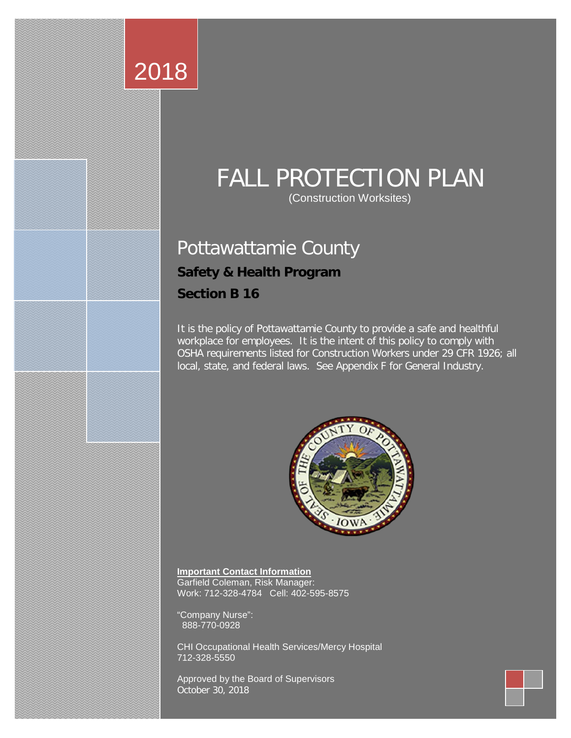## Safety *Barnet Brown Section B 166* 2018

**Pottawattamie County – FALL PROTECTION** 

## FALL PROTECTION PLAN

(Construction Worksites)

## Pottawattamie County

#### **Safety & Health Program**

**Section B 16**

It is the policy of Pottawattamie County to provide a safe and healthful workplace for employees. It is the intent of this policy to comply with OSHA requirements listed for Construction Workers under 29 CFR 1926; all local, state, and federal laws. See Appendix F for General Industry.



**Important Contact Information**

Garfield Coleman, Risk Manager: Work: 712-328-4784 Cell: 402-595-8575

"Company Nurse": 888-770-0928

CHI Occupational Health Services/Mercy Hospital 712-328-5550

Approved by the Board of Supervisors October 30, 2018

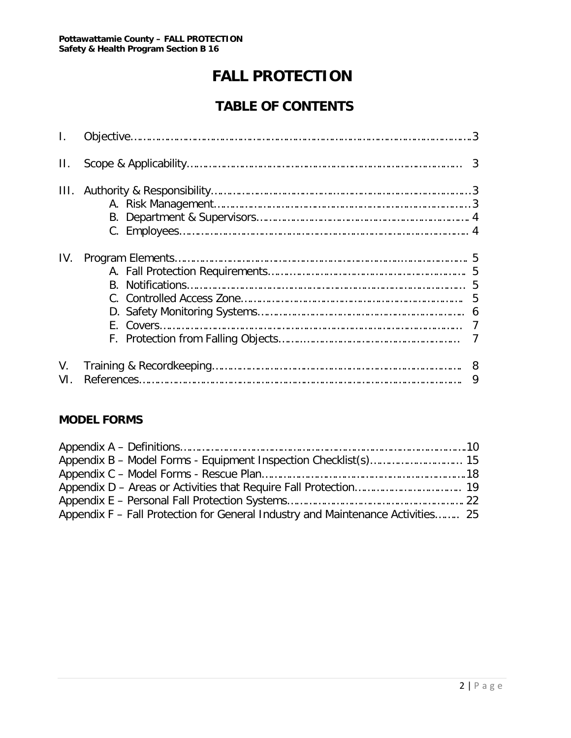## **FALL PROTECTION**

## **TABLE OF CONTENTS**

| $\Pi$ .   |    |   |
|-----------|----|---|
| HL.       |    |   |
| IV.       | B. |   |
| V.<br>VI. |    | 9 |

#### **MODEL FORMS**

| Appendix F - Fall Protection for General Industry and Maintenance Activities 25 |  |
|---------------------------------------------------------------------------------|--|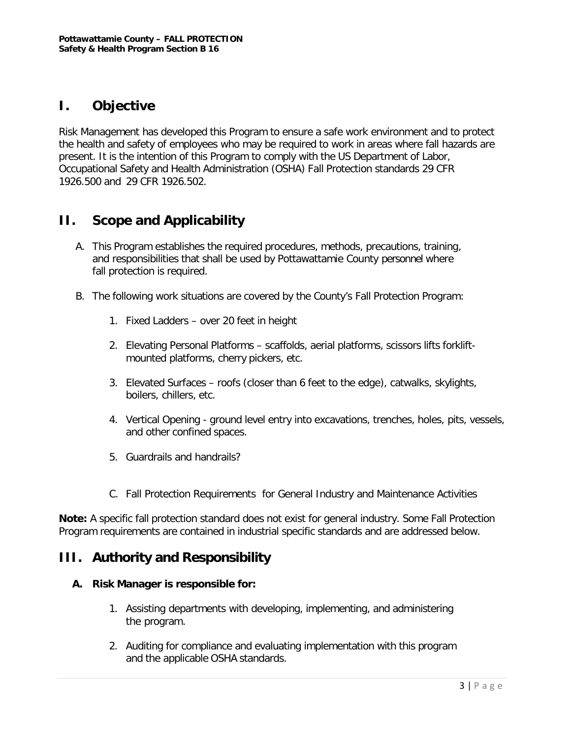## **I. Objective**

Risk Management has developed this Program to ensure a safe work environment and to protect the health and safety of employees who may be required to work in areas where fall hazards are present. It is the intention of this Program to comply with the US Department of Labor, Occupational Safety and Health Administration (OSHA) Fall Protection standards 29 CFR 1926.500 and 29 CFR 1926.502.

#### **II. Scope and Applicability**

- A. This Program establishes the required procedures, methods, precautions, training, and responsibilities that shall be used by Pottawattamie County personnel where fall protection is required.
- B. The following work situations are covered by the County's Fall Protection Program:
	- 1. Fixed Ladders over 20 feet in height
	- 2. Elevating Personal Platforms scaffolds, aerial platforms, scissors lifts forkliftmounted platforms, cherry pickers, etc.
	- 3. Elevated Surfaces roofs (closer than 6 feet to the edge), catwalks, skylights, boilers, chillers, etc.
	- 4. Vertical Opening ground level entry into excavations, trenches, holes, pits, vessels, and other confined spaces.
	- 5. Guardrails and handrails?
	- C. Fall Protection Requirements for General Industry and Maintenance Activities

**Note:** A specific fall protection standard does not exist for general industry. Some Fall Protection Program requirements are contained in industrial specific standards and are addressed below.

#### **III. Authority and Responsibility**

#### **A. Risk Manager is responsible for:**

- 1. Assisting departments with developing, implementing, and administering the program.
- 2. Auditing for compliance and evaluating implementation with this program and the applicable OSHA standards.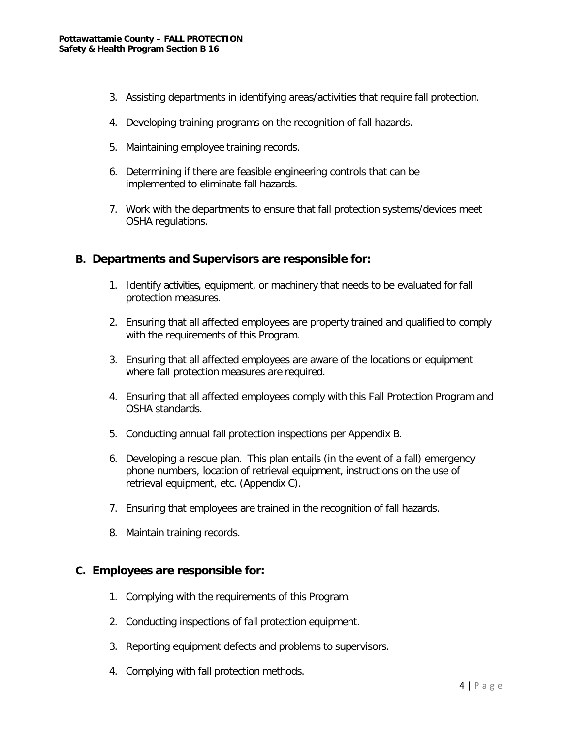- 3. Assisting departments in identifying areas/activities that require fall protection.
- 4. Developing training programs on the recognition of fall hazards.
- 5. Maintaining employee training records.
- 6. Determining if there are feasible engineering controls that can be implemented to eliminate fall hazards.
- 7. Work with the departments to ensure that fall protection systems/devices meet OSHA regulations.

#### **B. Departments and Supervisors are responsible for:**

- 1. Identify activities, equipment, or machinery that needs to be evaluated for fall protection measures.
- 2. Ensuring that all affected employees are property trained and qualified to comply with the requirements of this Program.
- 3. Ensuring that all affected employees are aware of the locations or equipment where fall protection measures are required.
- 4. Ensuring that all affected employees comply with this Fall Protection Program and OSHA standards.
- 5. Conducting annual fall protection inspections per Appendix B.
- 6. Developing a rescue plan. This plan entails (in the event of a fall) emergency phone numbers, location of retrieval equipment, instructions on the use of retrieval equipment, etc. (Appendix C).
- 7. Ensuring that employees are trained in the recognition of fall hazards.
- 8. Maintain training records.

#### **C. Employees are responsible for:**

- 1. Complying with the requirements of this Program.
- 2. Conducting inspections of fall protection equipment.
- 3. Reporting equipment defects and problems to supervisors.
- 4. Complying with fall protection methods.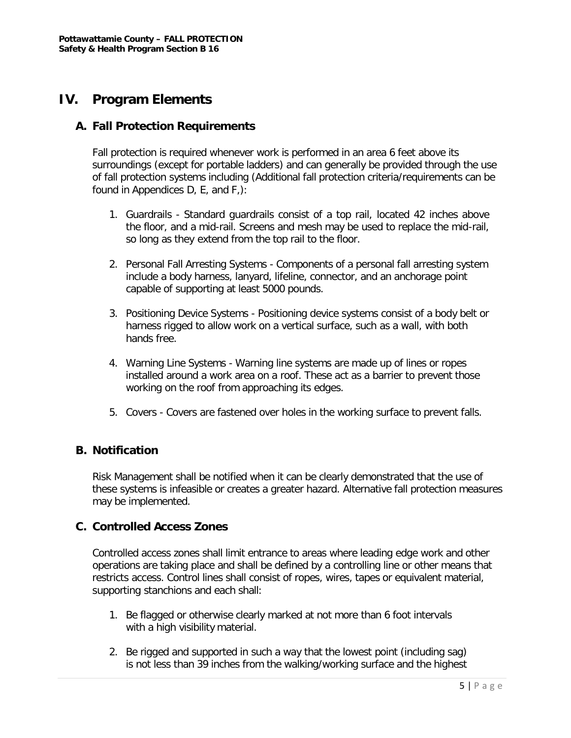#### **IV. Program Elements**

#### **A. Fall Protection Requirements**

Fall protection is required whenever work is performed in an area 6 feet above its surroundings (except for portable ladders) and can generally be provided through the use of fall protection systems including (Additional fall protection criteria/requirements can be found in Appendices D, E, and F,):

- 1. Guardrails Standard guardrails consist of a top rail, located 42 inches above the floor, and a mid-rail. Screens and mesh may be used to replace the mid-rail, so long as they extend from the top rail to the floor.
- 2. Personal Fall Arresting Systems Components of a personal fall arresting system include a body harness, lanyard, lifeline, connector, and an anchorage point capable of supporting at least 5000 pounds.
- 3. Positioning Device Systems Positioning device systems consist of a body belt or harness rigged to allow work on a vertical surface, such as a wall, with both hands free.
- 4. Warning Line Systems Warning line systems are made up of lines or ropes installed around a work area on a roof. These act as a barrier to prevent those working on the roof from approaching its edges.
- 5. Covers Covers are fastened over holes in the working surface to prevent falls.

#### **B. Notification**

Risk Management shall be notified when it can be clearly demonstrated that the use of these systems is infeasible or creates a greater hazard. Alternative fall protection measures may be implemented.

#### **C. Controlled Access Zones**

Controlled access zones shall limit entrance to areas where leading edge work and other operations are taking place and shall be defined by a controlling line or other means that restricts access. Control lines shall consist of ropes, wires, tapes or equivalent material, supporting stanchions and each shall:

- 1. Be flagged or otherwise clearly marked at not more than 6 foot intervals with a high visibility material.
- 2. Be rigged and supported in such a way that the lowest point (including sag) is not less than 39 inches from the walking/working surface and the highest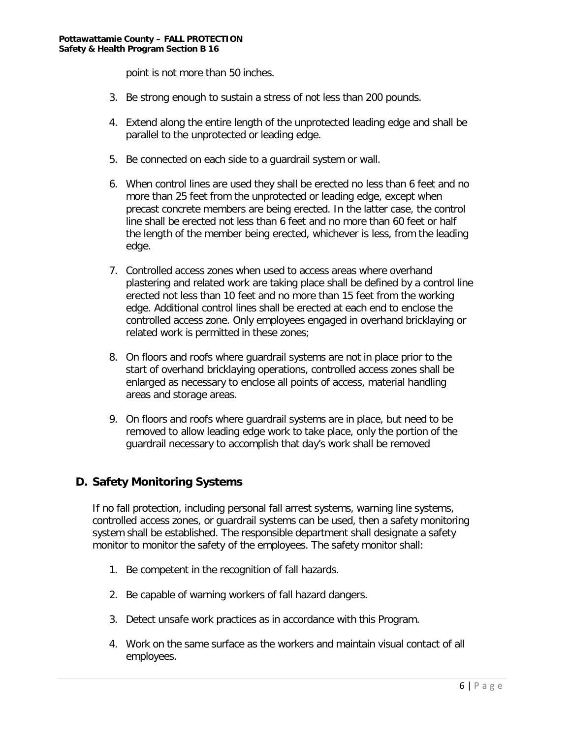point is not more than 50 inches.

- 3. Be strong enough to sustain a stress of not less than 200 pounds.
- 4. Extend along the entire length of the unprotected leading edge and shall be parallel to the unprotected or leading edge.
- 5. Be connected on each side to a guardrail system or wall.
- 6. When control lines are used they shall be erected no less than 6 feet and no more than 25 feet from the unprotected or leading edge, except when precast concrete members are being erected. In the latter case, the control line shall be erected not less than 6 feet and no more than 60 feet or half the length of the member being erected, whichever is less, from the leading edge.
- 7. Controlled access zones when used to access areas where overhand plastering and related work are taking place shall be defined by a control line erected not less than 10 feet and no more than 15 feet from the working edge. Additional control lines shall be erected at each end to enclose the controlled access zone. Only employees engaged in overhand bricklaying or related work is permitted in these zones;
- 8. On floors and roofs where guardrail systems are not in place prior to the start of overhand bricklaying operations, controlled access zones shall be enlarged as necessary to enclose all points of access, material handling areas and storage areas.
- 9. On floors and roofs where guardrail systems are in place, but need to be removed to allow leading edge work to take place, only the portion of the guardrail necessary to accomplish that day's work shall be removed

#### **D. Safety Monitoring Systems**

If no fall protection, including personal fall arrest systems, warning line systems, controlled access zones, or guardrail systems can be used, then a safety monitoring system shall be established. The responsible department shall designate a safety monitor to monitor the safety of the employees. The safety monitor shall:

- 1. Be competent in the recognition of fall hazards.
- 2. Be capable of warning workers of fall hazard dangers.
- 3. Detect unsafe work practices as in accordance with this Program.
- 4. Work on the same surface as the workers and maintain visual contact of all employees.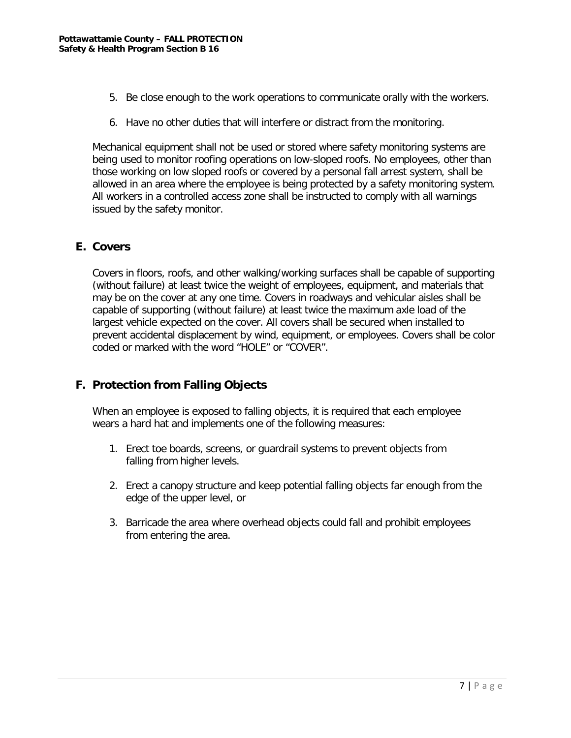- 5. Be close enough to the work operations to communicate orally with the workers.
- 6. Have no other duties that will interfere or distract from the monitoring.

Mechanical equipment shall not be used or stored where safety monitoring systems are being used to monitor roofing operations on low-sloped roofs. No employees, other than those working on low sloped roofs or covered by a personal fall arrest system, shall be allowed in an area where the employee is being protected by a safety monitoring system. All workers in a controlled access zone shall be instructed to comply with all warnings issued by the safety monitor.

#### **E. Covers**

Covers in floors, roofs, and other walking/working surfaces shall be capable of supporting (without failure) at least twice the weight of employees, equipment, and materials that may be on the cover at any one time. Covers in roadways and vehicular aisles shall be capable of supporting (without failure) at least twice the maximum axle load of the largest vehicle expected on the cover. All covers shall be secured when installed to prevent accidental displacement by wind, equipment, or employees. Covers shall be color coded or marked with the word "HOLE" or "COVER".

#### **F. Protection from Falling Objects**

When an employee is exposed to falling objects, it is required that each employee wears a hard hat and implements one of the following measures:

- 1. Erect toe boards, screens, or guardrail systems to prevent objects from falling from higher levels.
- 2. Erect a canopy structure and keep potential falling objects far enough from the edge of the upper level, or
- 3. Barricade the area where overhead objects could fall and prohibit employees from entering the area.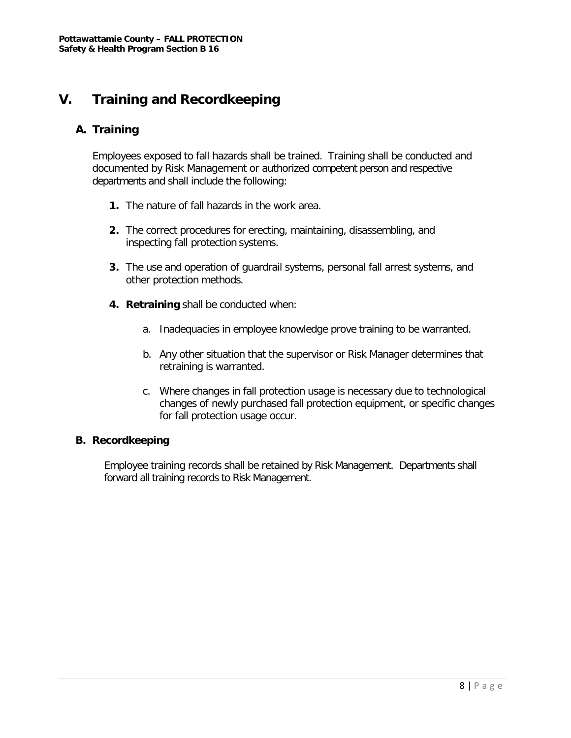## **V. Training and Recordkeeping**

#### **A. Training**

Employees exposed to fall hazards shall be trained. Training shall be conducted and documented by Risk Management or authorized competent person and respective departments and shall include the following:

- **1.** The nature of fall hazards in the work area.
- **2.** The correct procedures for erecting, maintaining, disassembling, and inspecting fall protection systems.
- **3.** The use and operation of guardrail systems, personal fall arrest systems, and other protection methods.
- **4. Retraining** shall be conducted when:
	- a. Inadequacies in employee knowledge prove training to be warranted.
	- b. Any other situation that the supervisor or Risk Manager determines that retraining is warranted.
	- c. Where changes in fall protection usage is necessary due to technological changes of newly purchased fall protection equipment, or specific changes for fall protection usage occur.

#### **B. Recordkeeping**

Employee training records shall be retained by Risk Management. Departments shall forward all training records to Risk Management.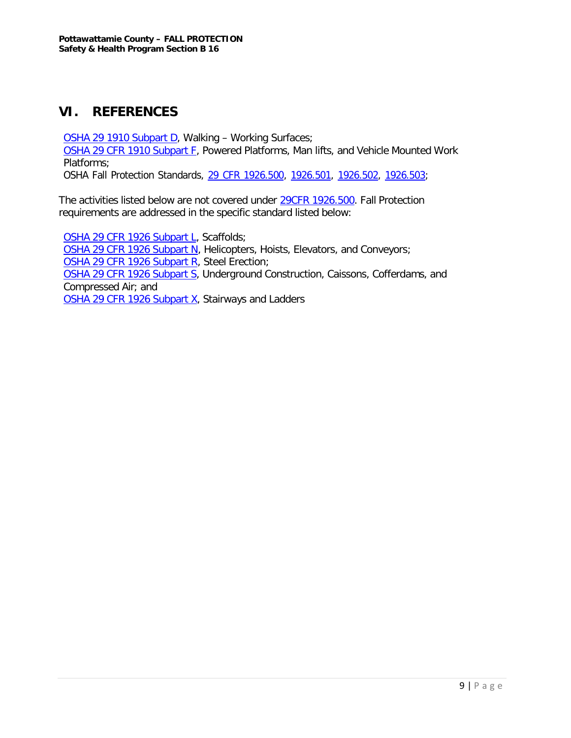#### **VI. REFERENCES**

OSHA 29 1910 Subpart D, Walking – Working Surfaces; OSHA 29 CFR 1910 Subpart F, Powered Platforms, Man lifts, and Vehicle Mounted Work Platforms;

OSHA Fall Protection Standards, 29 CFR 1926.500, 1926.501, 1926.502, 1926.503;

The activities listed below are not covered under 29CFR 1926.500. Fall Protection requirements are addressed in the specific standard listed below:

OSHA 29 CFR 1926 Subpart L, Scaffolds; OSHA 29 CFR 1926 Subpart N, Helicopters, Hoists, Elevators, and Conveyors; OSHA 29 CFR 1926 Subpart R, Steel Erection; OSHA 29 CFR 1926 Subpart S, Underground Construction, Caissons, Cofferdams, and Compressed Air; and OSHA 29 CFR 1926 Subpart X, Stairways and Ladders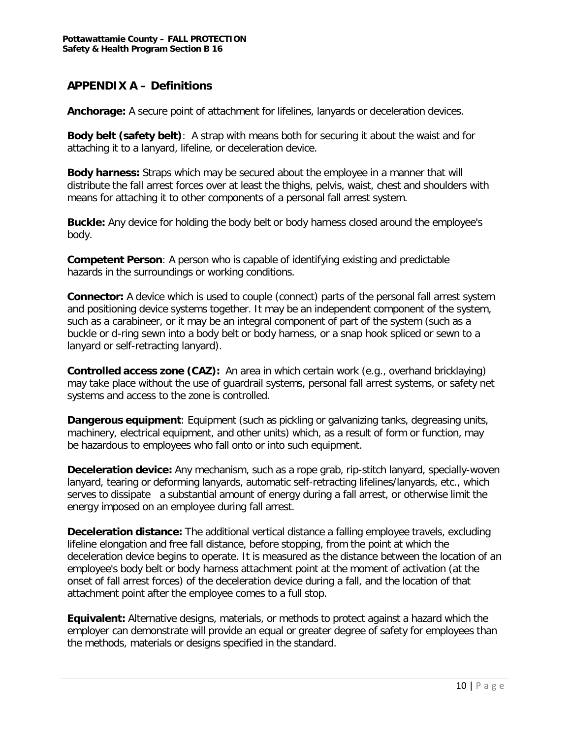#### **APPENDIX A – Definitions**

**Anchorage:** A secure point of attachment for lifelines, lanyards or deceleration devices.

**Body belt (safety belt)**: A strap with means both for securing it about the waist and for attaching it to a lanyard, lifeline, or deceleration device.

**Body harness:** Straps which may be secured about the employee in a manner that will distribute the fall arrest forces over at least the thighs, pelvis, waist, chest and shoulders with means for attaching it to other components of a personal fall arrest system.

**Buckle:** Any device for holding the body belt or body harness closed around the employee's body.

**Competent Person**: A person who is capable of identifying existing and predictable hazards in the surroundings or working conditions.

**Connector:** A device which is used to couple (connect) parts of the personal fall arrest system and positioning device systems together. It may be an independent component of the system, such as a carabineer, or it may be an integral component of part of the system (such as a buckle or d-ring sewn into a body belt or body harness, or a snap hook spliced or sewn to a lanyard or self-retracting lanyard).

**Controlled access zone (CAZ):** An area in which certain work (e.g., overhand bricklaying) may take place without the use of guardrail systems, personal fall arrest systems, or safety net systems and access to the zone is controlled.

**Dangerous equipment**: Equipment (such as pickling or galvanizing tanks, degreasing units, machinery, electrical equipment, and other units) which, as a result of form or function, may be hazardous to employees who fall onto or into such equipment.

**Deceleration device:** Any mechanism, such as a rope grab, rip-stitch lanyard, specially-woven lanyard, tearing or deforming lanyards, automatic self-retracting lifelines/lanyards, etc., which serves to dissipate a substantial amount of energy during a fall arrest, or otherwise limit the energy imposed on an employee during fall arrest.

**Deceleration distance:** The additional vertical distance a falling employee travels, excluding lifeline elongation and free fall distance, before stopping, from the point at which the deceleration device begins to operate. It is measured as the distance between the location of an employee's body belt or body harness attachment point at the moment of activation (at the onset of fall arrest forces) of the deceleration device during a fall, and the location of that attachment point after the employee comes to a full stop.

**Equivalent:** Alternative designs, materials, or methods to protect against a hazard which the employer can demonstrate will provide an equal or greater degree of safety for employees than the methods, materials or designs specified in the standard.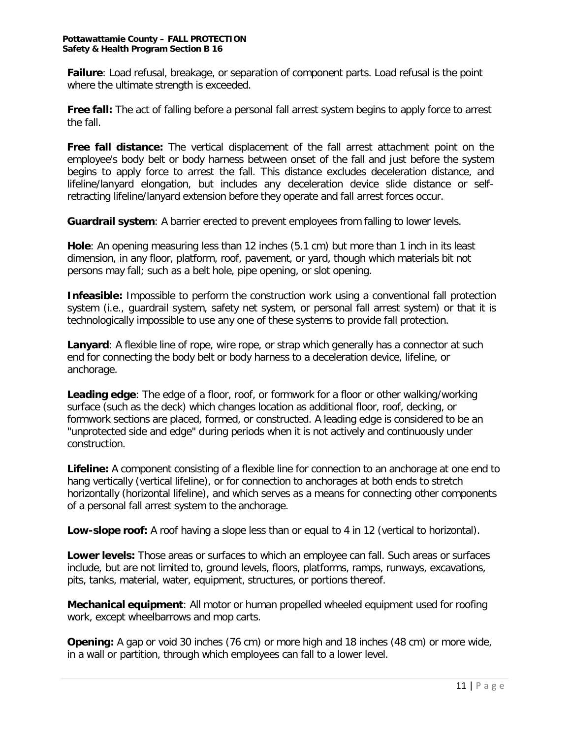#### **Pottawattamie County – FALL PROTECTION Safety & Health Program Section B 16**

**Failure**: Load refusal, breakage, or separation of component parts. Load refusal is the point where the ultimate strength is exceeded.

**Free fall:** The act of falling before a personal fall arrest system begins to apply force to arrest the fall.

**Free fall distance:** The vertical displacement of the fall arrest attachment point on the employee's body belt or body harness between onset of the fall and just before the system begins to apply force to arrest the fall. This distance excludes deceleration distance, and lifeline/lanyard elongation, but includes any deceleration device slide distance or selfretracting lifeline/lanyard extension before they operate and fall arrest forces occur.

**Guardrail system**: A barrier erected to prevent employees from falling to lower levels.

**Hole**: An opening measuring less than 12 inches (5.1 cm) but more than 1 inch in its least dimension, in any floor, platform, roof, pavement, or yard, though which materials bit not persons may fall; such as a belt hole, pipe opening, or slot opening.

**Infeasible:** Impossible to perform the construction work using a conventional fall protection system (i.e., guardrail system, safety net system, or personal fall arrest system) or that it is technologically impossible to use any one of these systems to provide fall protection.

Lanyard: A flexible line of rope, wire rope, or strap which generally has a connector at such end for connecting the body belt or body harness to a deceleration device, lifeline, or anchorage.

**Leading edge**: The edge of a floor, roof, or formwork for a floor or other walking/working surface (such as the deck) which changes location as additional floor, roof, decking, or formwork sections are placed, formed, or constructed. A leading edge is considered to be an "unprotected side and edge" during periods when it is not actively and continuously under construction.

**Lifeline:** A component consisting of a flexible line for connection to an anchorage at one end to hang vertically (vertical lifeline), or for connection to anchorages at both ends to stretch horizontally (horizontal lifeline), and which serves as a means for connecting other components of a personal fall arrest system to the anchorage.

**Low-slope roof:** A roof having a slope less than or equal to 4 in 12 (vertical to horizontal).

**Lower levels:** Those areas or surfaces to which an employee can fall. Such areas or surfaces include, but are not limited to, ground levels, floors, platforms, ramps, runways, excavations, pits, tanks, material, water, equipment, structures, or portions thereof.

**Mechanical equipment**: All motor or human propelled wheeled equipment used for roofing work, except wheelbarrows and mop carts.

**Opening:** A gap or void 30 inches (76 cm) or more high and 18 inches (48 cm) or more wide, in a wall or partition, through which employees can fall to a lower level.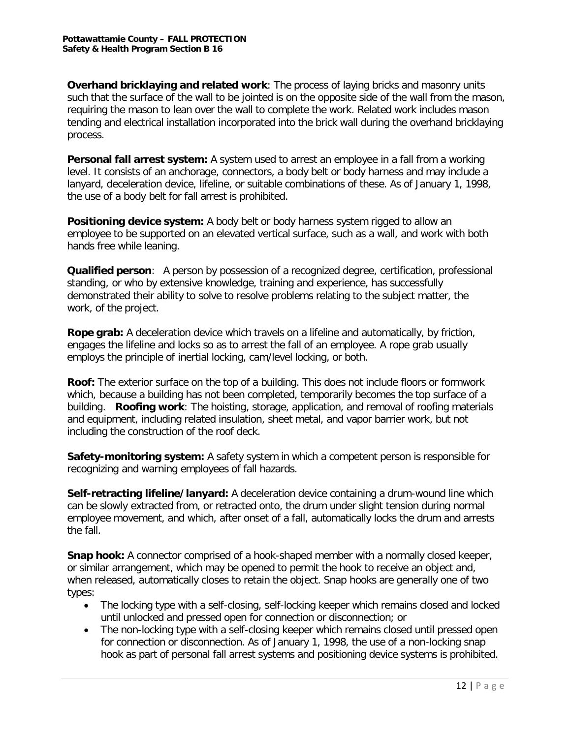**Overhand bricklaying and related work**: The process of laying bricks and masonry units such that the surface of the wall to be jointed is on the opposite side of the wall from the mason, requiring the mason to lean over the wall to complete the work. Related work includes mason tending and electrical installation incorporated into the brick wall during the overhand bricklaying process.

**Personal fall arrest system:** A system used to arrest an employee in a fall from a working level. It consists of an anchorage, connectors, a body belt or body harness and may include a lanyard, deceleration device, lifeline, or suitable combinations of these. As of January 1, 1998, the use of a body belt for fall arrest is prohibited.

**Positioning device system:** A body belt or body harness system rigged to allow an employee to be supported on an elevated vertical surface, such as a wall, and work with both hands free while leaning.

**Qualified person**: A person by possession of a recognized degree, certification, professional standing, or who by extensive knowledge, training and experience, has successfully demonstrated their ability to solve to resolve problems relating to the subject matter, the work, of the project.

**Rope grab:** A deceleration device which travels on a lifeline and automatically, by friction, engages the lifeline and locks so as to arrest the fall of an employee. A rope grab usually employs the principle of inertial locking, cam/level locking, or both.

**Roof:** The exterior surface on the top of a building. This does not include floors or formwork which, because a building has not been completed, temporarily becomes the top surface of a building. **Roofing work**: The hoisting, storage, application, and removal of roofing materials and equipment, including related insulation, sheet metal, and vapor barrier work, but not including the construction of the roof deck.

**Safety-monitoring system:** A safety system in which a competent person is responsible for recognizing and warning employees of fall hazards.

**Self-retracting lifeline/lanyard:** A deceleration device containing a drum-wound line which can be slowly extracted from, or retracted onto, the drum under slight tension during normal employee movement, and which, after onset of a fall, automatically locks the drum and arrests the fall.

**Snap hook:** A connector comprised of a hook-shaped member with a normally closed keeper, or similar arrangement, which may be opened to permit the hook to receive an object and, when released, automatically closes to retain the object. Snap hooks are generally one of two types:

- The locking type with a self-closing, self-locking keeper which remains closed and locked until unlocked and pressed open for connection or disconnection; or
- The non-locking type with a self-closing keeper which remains closed until pressed open for connection or disconnection. As of January 1, 1998, the use of a non-locking snap hook as part of personal fall arrest systems and positioning device systems is prohibited.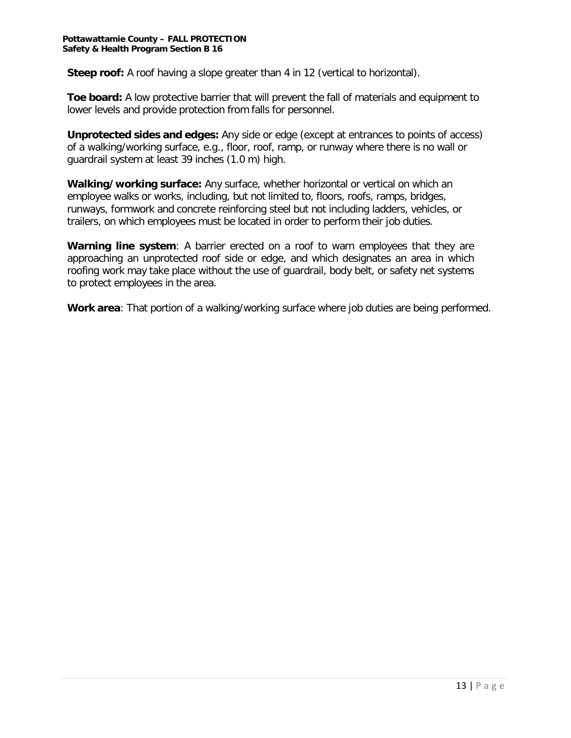#### **Pottawattamie County – FALL PROTECTION Safety & Health Program Section B 16**

**Steep roof:** A roof having a slope greater than 4 in 12 (vertical to horizontal).

**Toe board:** A low protective barrier that will prevent the fall of materials and equipment to lower levels and provide protection from falls for personnel.

**Unprotected sides and edges:** Any side or edge (except at entrances to points of access) of a walking/working surface, e.g., floor, roof, ramp, or runway where there is no wall or guardrail system at least 39 inches (1.0 m) high.

**Walking/working surface:** Any surface, whether horizontal or vertical on which an employee walks or works, including, but not limited to, floors, roofs, ramps, bridges, runways, formwork and concrete reinforcing steel but not including ladders, vehicles, or trailers, on which employees must be located in order to perform their job duties.

**Warning line system**: A barrier erected on a roof to warn employees that they are approaching an unprotected roof side or edge, and which designates an area in which roofing work may take place without the use of guardrail, body belt, or safety net systems to protect employees in the area.

**Work area**: That portion of a walking/working surface where job duties are being performed.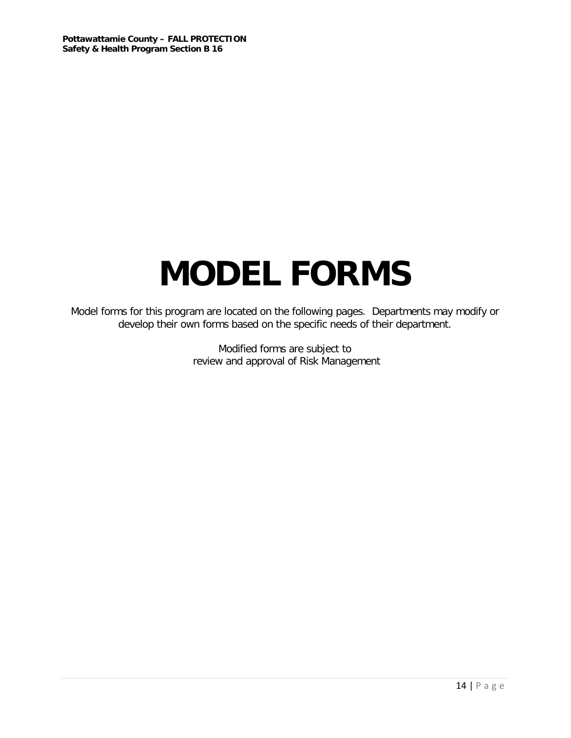# **MODEL FORMS**

Model forms for this program are located on the following pages. Departments may modify or develop their own forms based on the specific needs of their department.

> Modified forms are subject to review and approval of Risk Management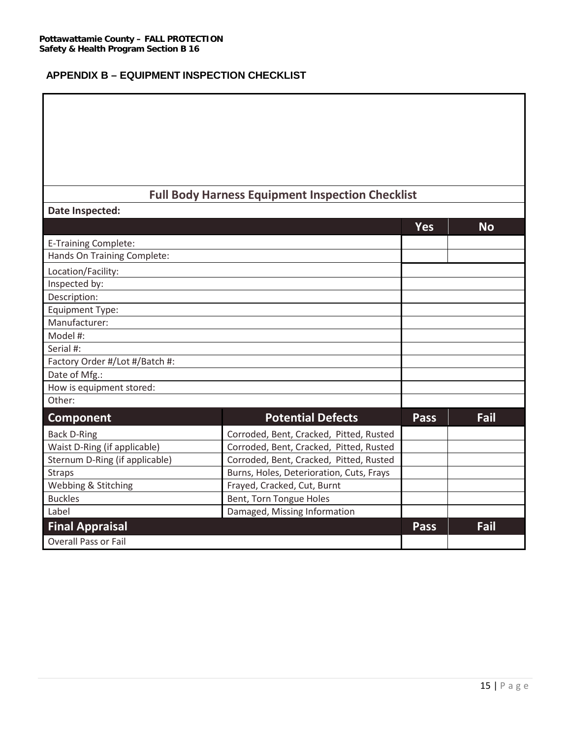#### **APPENDIX B – EQUIPMENT INSPECTION CHECKLIST**

|                                | <b>Full Body Harness Equipment Inspection Checklist</b> |             |           |
|--------------------------------|---------------------------------------------------------|-------------|-----------|
| Date Inspected:                |                                                         |             |           |
|                                |                                                         | <b>Yes</b>  | <b>No</b> |
| <b>E-Training Complete:</b>    |                                                         |             |           |
| Hands On Training Complete:    |                                                         |             |           |
| Location/Facility:             |                                                         |             |           |
| Inspected by:                  |                                                         |             |           |
| Description:                   |                                                         |             |           |
| <b>Equipment Type:</b>         |                                                         |             |           |
| Manufacturer:                  |                                                         |             |           |
| Model #:                       |                                                         |             |           |
| Serial #:                      |                                                         |             |           |
| Factory Order #/Lot #/Batch #: |                                                         |             |           |
| Date of Mfg.:                  |                                                         |             |           |
| How is equipment stored:       |                                                         |             |           |
| Other:                         |                                                         |             |           |
| <b>Component</b>               | <b>Potential Defects</b>                                | Pass        | Fail      |
| <b>Back D-Ring</b>             | Corroded, Bent, Cracked, Pitted, Rusted                 |             |           |
| Waist D-Ring (if applicable)   | Corroded, Bent, Cracked, Pitted, Rusted                 |             |           |
| Sternum D-Ring (if applicable) | Corroded, Bent, Cracked, Pitted, Rusted                 |             |           |
| <b>Straps</b>                  | Burns, Holes, Deterioration, Cuts, Frays                |             |           |
| Webbing & Stitching            | Frayed, Cracked, Cut, Burnt                             |             |           |
| <b>Buckles</b>                 | Bent, Torn Tongue Holes                                 |             |           |
| Label                          | Damaged, Missing Information                            |             |           |
| <b>Final Appraisal</b>         |                                                         | <b>Pass</b> | Fail      |
| <b>Overall Pass or Fail</b>    |                                                         |             |           |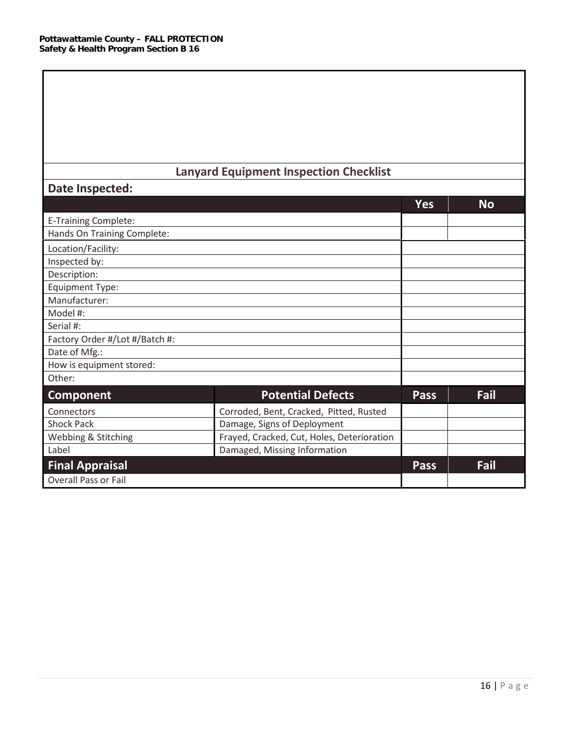## **Lanyard Equipment Inspection Checklist**

| Date Inspected:                |                                            |             |           |  |  |
|--------------------------------|--------------------------------------------|-------------|-----------|--|--|
|                                |                                            | <b>Yes</b>  | <b>No</b> |  |  |
| <b>E-Training Complete:</b>    |                                            |             |           |  |  |
| Hands On Training Complete:    |                                            |             |           |  |  |
| Location/Facility:             |                                            |             |           |  |  |
| Inspected by:                  |                                            |             |           |  |  |
| Description:                   |                                            |             |           |  |  |
| <b>Equipment Type:</b>         |                                            |             |           |  |  |
| Manufacturer:                  |                                            |             |           |  |  |
| Model #:                       |                                            |             |           |  |  |
| Serial #:                      |                                            |             |           |  |  |
| Factory Order #/Lot #/Batch #: |                                            |             |           |  |  |
| Date of Mfg.:                  |                                            |             |           |  |  |
| How is equipment stored:       |                                            |             |           |  |  |
| Other:                         |                                            |             |           |  |  |
| <b>Component</b>               | <b>Potential Defects</b>                   | <b>Pass</b> | Fail      |  |  |
| Connectors                     | Corroded, Bent, Cracked, Pitted, Rusted    |             |           |  |  |
| <b>Shock Pack</b>              | Damage, Signs of Deployment                |             |           |  |  |
| Webbing & Stitching            | Frayed, Cracked, Cut, Holes, Deterioration |             |           |  |  |
| Label                          | Damaged, Missing Information               |             |           |  |  |
| <b>Final Appraisal</b>         |                                            | <b>Pass</b> | Fail      |  |  |
| <b>Overall Pass or Fail</b>    |                                            |             |           |  |  |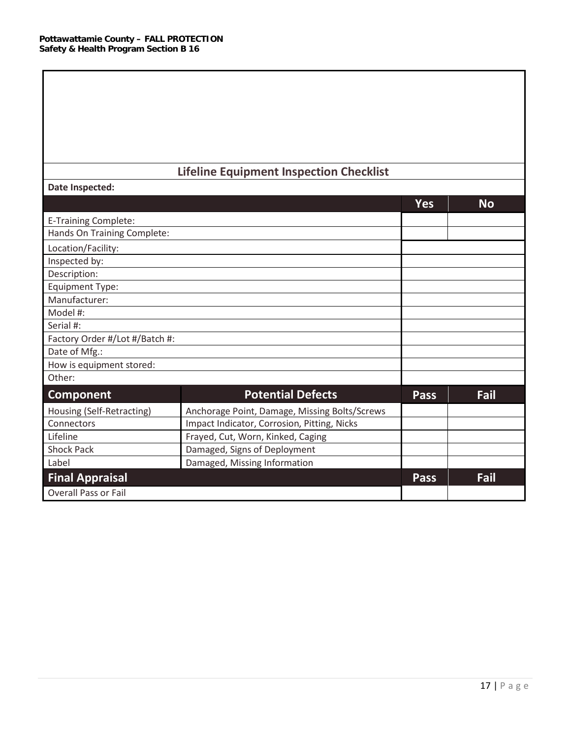## **Lifeline Equipment Inspection Checklist**

| Date Inspected:                |                                               |             |           |  |  |
|--------------------------------|-----------------------------------------------|-------------|-----------|--|--|
|                                |                                               | <b>Yes</b>  | <b>No</b> |  |  |
| <b>E-Training Complete:</b>    |                                               |             |           |  |  |
| Hands On Training Complete:    |                                               |             |           |  |  |
| Location/Facility:             |                                               |             |           |  |  |
| Inspected by:                  |                                               |             |           |  |  |
| Description:                   |                                               |             |           |  |  |
| <b>Equipment Type:</b>         |                                               |             |           |  |  |
| Manufacturer:                  |                                               |             |           |  |  |
| Model #:                       |                                               |             |           |  |  |
| Serial #:                      |                                               |             |           |  |  |
| Factory Order #/Lot #/Batch #: |                                               |             |           |  |  |
| Date of Mfg.:                  |                                               |             |           |  |  |
| How is equipment stored:       |                                               |             |           |  |  |
| Other:                         |                                               |             |           |  |  |
| <b>Component</b>               | <b>Potential Defects</b>                      | <b>Pass</b> | Fail      |  |  |
| Housing (Self-Retracting)      | Anchorage Point, Damage, Missing Bolts/Screws |             |           |  |  |
| Connectors                     | Impact Indicator, Corrosion, Pitting, Nicks   |             |           |  |  |
| Lifeline                       | Frayed, Cut, Worn, Kinked, Caging             |             |           |  |  |
| <b>Shock Pack</b>              | Damaged, Signs of Deployment                  |             |           |  |  |
| Label                          | Damaged, Missing Information                  |             |           |  |  |
| <b>Final Appraisal</b>         |                                               | <b>Pass</b> | Fail      |  |  |
| <b>Overall Pass or Fail</b>    |                                               |             |           |  |  |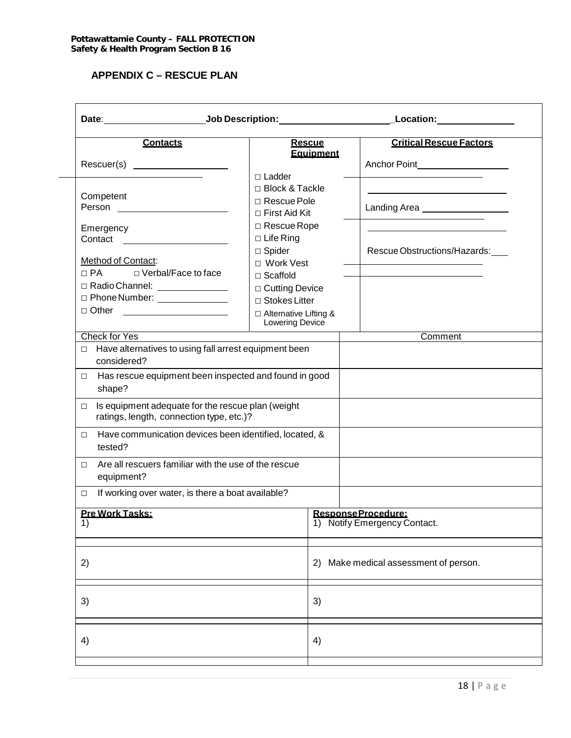#### **APPENDIX C – RESCUE PLAN**

| Date:__________________________Job Description:__________________________Location:_________________                                  |                                            |                  |                                                     |
|--------------------------------------------------------------------------------------------------------------------------------------|--------------------------------------------|------------------|-----------------------------------------------------|
| <b>Contacts</b>                                                                                                                      | <b>Rescue</b>                              | <b>Equipment</b> | <b>Critical Rescue Factors</b>                      |
| Rescuer(s) ______________________                                                                                                    |                                            |                  | Anchor Point______________________                  |
|                                                                                                                                      | $\Box$ Ladder                              |                  |                                                     |
|                                                                                                                                      | □ Block & Tackle                           |                  |                                                     |
| Competent                                                                                                                            | $\Box$ Rescue Pole                         |                  | Landing Area ___________________                    |
|                                                                                                                                      | $\Box$ First Aid Kit                       |                  |                                                     |
| □ Rescue Rope<br>Emergency                                                                                                           |                                            |                  |                                                     |
| Contact ________________________                                                                                                     | $\Box$ Life Ring                           |                  |                                                     |
| Method of Contact:                                                                                                                   | □ Spider                                   |                  | Rescue Obstructions/Hazards:                        |
| $\Box$ PA $\Box$ Verbal/Face to face                                                                                                 | □ Work Vest                                |                  |                                                     |
| □ Radio Channel: ______________                                                                                                      | □ Scaffold                                 |                  |                                                     |
| D Phone Number: _______________                                                                                                      | □ Cutting Device<br>□ Stokes Litter        |                  |                                                     |
| □ Other <u>___________________</u>                                                                                                   | □ Alternative Lifting &<br>Lowering Device |                  |                                                     |
| <b>Check for Yes</b>                                                                                                                 |                                            |                  | Comment                                             |
| $\Box$ Have alternatives to using fall arrest equipment been                                                                         |                                            |                  |                                                     |
| considered?                                                                                                                          |                                            |                  |                                                     |
| Has rescue equipment been inspected and found in good<br>$\Box$<br>shape?<br>Is equipment adequate for the rescue plan (weight<br>П. |                                            |                  |                                                     |
| ratings, length, connection type, etc.)?                                                                                             |                                            |                  |                                                     |
| Have communication devices been identified, located, &<br>$\Box$<br>tested?                                                          |                                            |                  |                                                     |
| Are all rescuers familiar with the use of the rescue<br>$\Box$<br>equipment?                                                         |                                            |                  |                                                     |
| If working over water, is there a boat available?<br>$\Box$                                                                          |                                            |                  |                                                     |
| Pre Work Tasks:<br>1)                                                                                                                |                                            |                  | Response Procedure:<br>1) Notify Emergency Contact. |
| 2)                                                                                                                                   |                                            |                  | 2) Make medical assessment of person.               |
| 3)                                                                                                                                   |                                            | 3)               |                                                     |
| 4)                                                                                                                                   |                                            |                  |                                                     |
|                                                                                                                                      |                                            | 4)               |                                                     |
|                                                                                                                                      |                                            |                  |                                                     |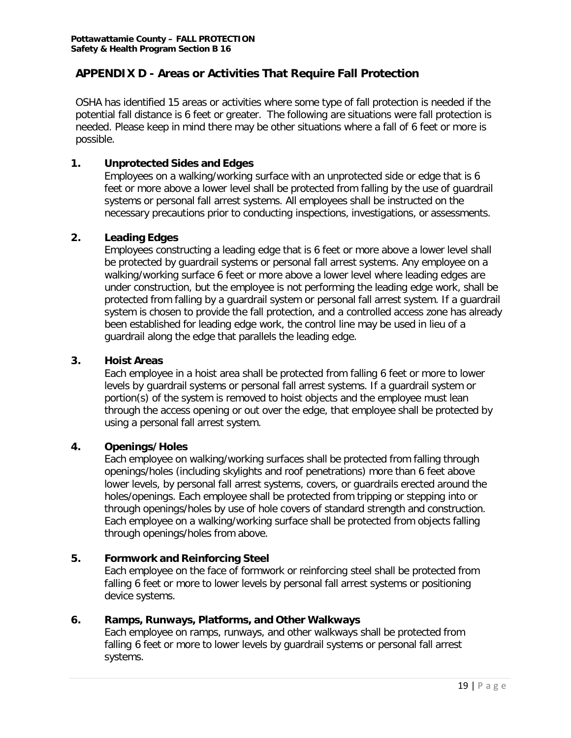#### **APPENDIX D - Areas or Activities That Require Fall Protection**

OSHA has identified 15 areas or activities where some type of fall protection is needed if the potential fall distance is 6 feet or greater. The following are situations were fall protection is needed. Please keep in mind there may be other situations where a fall of 6 feet or more is possible.

#### **1. Unprotected Sides and Edges**

Employees on a walking/working surface with an unprotected side or edge that is 6 feet or more above a lower level shall be protected from falling by the use of guardrail systems or personal fall arrest systems. All employees shall be instructed on the necessary precautions prior to conducting inspections, investigations, or assessments.

#### **2. Leading Edges**

Employees constructing a leading edge that is 6 feet or more above a lower level shall be protected by guardrail systems or personal fall arrest systems. Any employee on a walking/working surface 6 feet or more above a lower level where leading edges are under construction, but the employee is not performing the leading edge work, shall be protected from falling by a guardrail system or personal fall arrest system. If a guardrail system is chosen to provide the fall protection, and a controlled access zone has already been established for leading edge work, the control line may be used in lieu of a guardrail along the edge that parallels the leading edge.

#### **3. Hoist Areas**

Each employee in a hoist area shall be protected from falling 6 feet or more to lower levels by guardrail systems or personal fall arrest systems. If a guardrail system or portion(s) of the system is removed to hoist objects and the employee must lean through the access opening or out over the edge, that employee shall be protected by using a personal fall arrest system.

#### **4. Openings/Holes**

Each employee on walking/working surfaces shall be protected from falling through openings/holes (including skylights and roof penetrations) more than 6 feet above lower levels, by personal fall arrest systems, covers, or guardrails erected around the holes/openings. Each employee shall be protected from tripping or stepping into or through openings/holes by use of hole covers of standard strength and construction. Each employee on a walking/working surface shall be protected from objects falling through openings/holes from above.

#### **5. Formwork and Reinforcing Steel**

Each employee on the face of formwork or reinforcing steel shall be protected from falling 6 feet or more to lower levels by personal fall arrest systems or positioning device systems.

#### **6. Ramps, Runways, Platforms, and Other Walkways**

Each employee on ramps, runways, and other walkways shall be protected from falling 6 feet or more to lower levels by guardrail systems or personal fall arrest systems.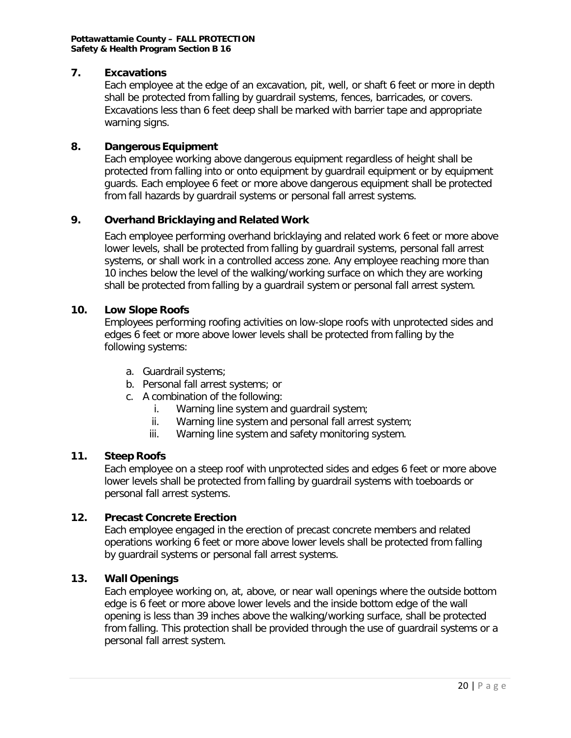#### **7. Excavations**

Each employee at the edge of an excavation, pit, well, or shaft 6 feet or more in depth shall be protected from falling by guardrail systems, fences, barricades, or covers. Excavations less than 6 feet deep shall be marked with barrier tape and appropriate warning signs.

#### **8. Dangerous Equipment**

Each employee working above dangerous equipment regardless of height shall be protected from falling into or onto equipment by guardrail equipment or by equipment guards. Each employee 6 feet or more above dangerous equipment shall be protected from fall hazards by guardrail systems or personal fall arrest systems.

#### **9. Overhand Bricklaying and Related Work**

Each employee performing overhand bricklaying and related work 6 feet or more above lower levels, shall be protected from falling by guardrail systems, personal fall arrest systems, or shall work in a controlled access zone. Any employee reaching more than 10 inches below the level of the walking/working surface on which they are working shall be protected from falling by a guardrail system or personal fall arrest system.

#### **10. Low Slope Roofs**

Employees performing roofing activities on low-slope roofs with unprotected sides and edges 6 feet or more above lower levels shall be protected from falling by the following systems:

- a. Guardrail systems;
- b. Personal fall arrest systems; or
- c. A combination of the following:
	- i. Warning line system and guardrail system;
	- ii. Warning line system and personal fall arrest system;
	- iii. Warning line system and safety monitoring system.

#### **11. Steep Roofs**

Each employee on a steep roof with unprotected sides and edges 6 feet or more above lower levels shall be protected from falling by guardrail systems with toeboards or personal fall arrest systems.

#### **12. Precast Concrete Erection**

Each employee engaged in the erection of precast concrete members and related operations working 6 feet or more above lower levels shall be protected from falling by guardrail systems or personal fall arrest systems.

#### **13. Wall Openings**

Each employee working on, at, above, or near wall openings where the outside bottom edge is 6 feet or more above lower levels and the inside bottom edge of the wall opening is less than 39 inches above the walking/working surface, shall be protected from falling. This protection shall be provided through the use of guardrail systems or a personal fall arrest system.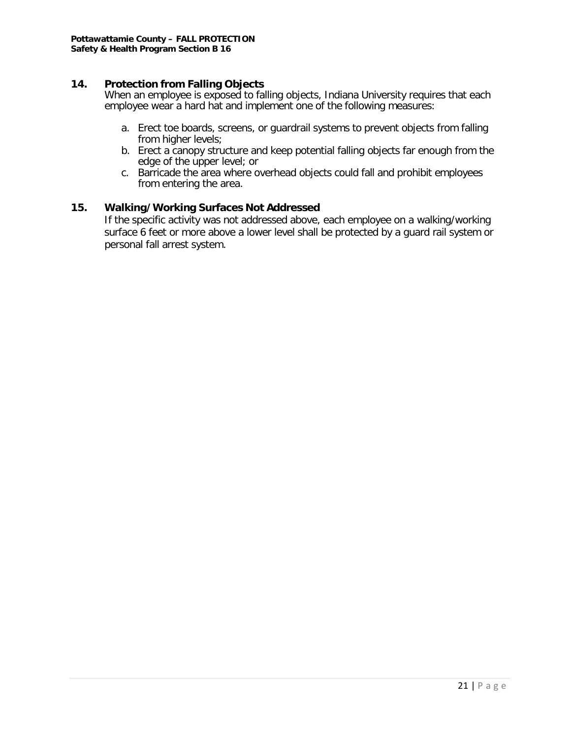#### **14. Protection from Falling Objects**

When an employee is exposed to falling objects, Indiana University requires that each employee wear a hard hat and implement one of the following measures:

- a. Erect toe boards, screens, or guardrail systems to prevent objects from falling from higher levels;
- b. Erect a canopy structure and keep potential falling objects far enough from the edge of the upper level; or
- c. Barricade the area where overhead objects could fall and prohibit employees from entering the area.

#### **15. Walking/Working Surfaces Not Addressed**

If the specific activity was not addressed above, each employee on a walking/working surface 6 feet or more above a lower level shall be protected by a guard rail system or personal fall arrest system.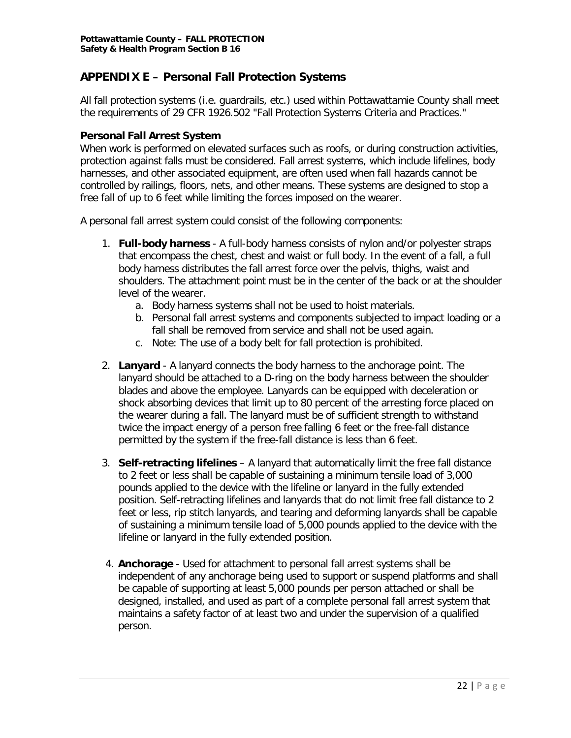#### **APPENDIX E – Personal Fall Protection Systems**

All fall protection systems (i.e. guardrails, etc.) used within Pottawattamie County shall meet the requirements of 29 CFR 1926.502 "Fall Protection Systems Criteria and Practices."

#### **Personal Fall Arrest System**

When work is performed on elevated surfaces such as roofs, or during construction activities, protection against falls must be considered. Fall arrest systems, which include lifelines, body harnesses, and other associated equipment, are often used when fall hazards cannot be controlled by railings, floors, nets, and other means. These systems are designed to stop a free fall of up to 6 feet while limiting the forces imposed on the wearer.

A personal fall arrest system could consist of the following components:

- 1. **Full-body harness** A full-body harness consists of nylon and/or polyester straps that encompass the chest, chest and waist or full body. In the event of a fall, a full body harness distributes the fall arrest force over the pelvis, thighs, waist and shoulders. The attachment point must be in the center of the back or at the shoulder level of the wearer.
	- a. Body harness systems shall not be used to hoist materials.
	- b. Personal fall arrest systems and components subjected to impact loading or a fall shall be removed from service and shall not be used again.
	- c. Note: The use of a body belt for fall protection is prohibited.
- 2. **Lanyard** A lanyard connects the body harness to the anchorage point. The lanyard should be attached to a D-ring on the body harness between the shoulder blades and above the employee. Lanyards can be equipped with deceleration or shock absorbing devices that limit up to 80 percent of the arresting force placed on the wearer during a fall. The lanyard must be of sufficient strength to withstand twice the impact energy of a person free falling 6 feet or the free-fall distance permitted by the system if the free-fall distance is less than 6 feet.
- 3. **Self-retracting lifelines** A lanyard that automatically limit the free fall distance to 2 feet or less shall be capable of sustaining a minimum tensile load of 3,000 pounds applied to the device with the lifeline or lanyard in the fully extended position. Self-retracting lifelines and lanyards that do not limit free fall distance to 2 feet or less, rip stitch lanyards, and tearing and deforming lanyards shall be capable of sustaining a minimum tensile load of 5,000 pounds applied to the device with the lifeline or lanyard in the fully extended position.
- 4. **Anchorage** Used for attachment to personal fall arrest systems shall be independent of any anchorage being used to support or suspend platforms and shall be capable of supporting at least 5,000 pounds per person attached or shall be designed, installed, and used as part of a complete personal fall arrest system that maintains a safety factor of at least two and under the supervision of a qualified person.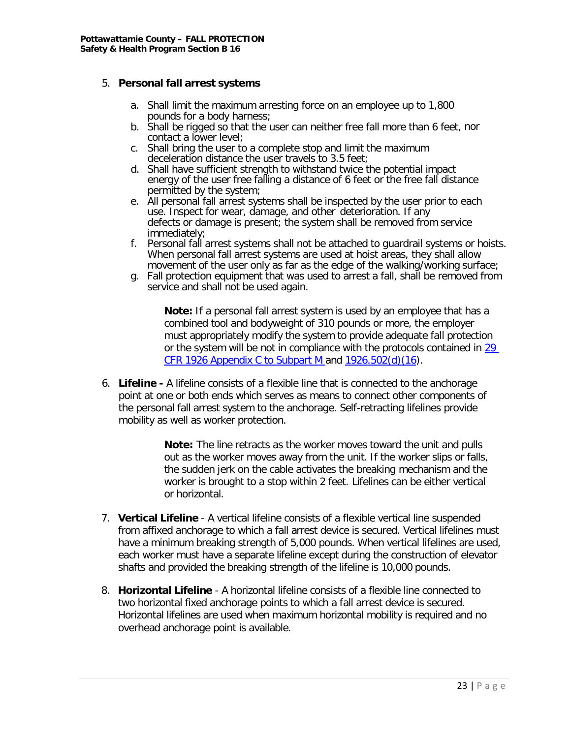#### 5. **Personal fall arrest systems**

- a. Shall limit the maximum arresting force on an employee up to 1,800 pounds for a body harness;
- b. Shall be rigged so that the user can neither free fall more than 6 feet, nor contact a lower level;
- c. Shall bring the user to a complete stop and limit the maximum deceleration distance the user travels to 3.5 feet;
- d. Shall have sufficient strength to withstand twice the potential impact energy of the user free falling a distance of 6 feet or the free fall distance permitted by the system;
- e. All personal fall arrest systems shall be inspected by the user prior to each use. Inspect for wear, damage, and other deterioration. If any defects or damage is present; the system shall be removed from service immediately;
- f. Personal fall arrest systems shall not be attached to guardrail systems or hoists. When personal fall arrest systems are used at hoist areas, they shall allow movement of the user only as far as the edge of the walking/working surface;
- g. Fall protection equipment that was used to arrest a fall, shall be removed from service and shall not be used again.

**Note:** If a personal fall arrest system is used by an employee that has a combined tool and bodyweight of 310 pounds or more, the employer must appropriately modify the system to provide adequate fall protection or the system will be not in compliance with the protocols contained in [29](https://www.osha.gov/pls/oshaweb/owadisp.show_document?p_table=STANDARDS&p_id=10925) CFR 1926 [Appendix](https://www.osha.gov/pls/oshaweb/owadisp.show_document?p_table=STANDARDS&p_id=10925) C to Subpart M and [1926.502\(d\)\(16\)](https://www.osha.gov/pls/oshaweb/owadisp.show_document?p_table=STANDARDS&p_id=10758).

6. **Lifeline -** A lifeline consists of a flexible line that is connected to the anchorage point at one or both ends which serves as means to connect other components of the personal fall arrest system to the anchorage. Self-retracting lifelines provide mobility as well as worker protection.

> **Note:** The line retracts as the worker moves toward the unit and pulls out as the worker moves away from the unit. If the worker slips or falls, the sudden jerk on the cable activates the breaking mechanism and the worker is brought to a stop within 2 feet. Lifelines can be either vertical or horizontal.

- 7. **Vertical Lifeline** A vertical lifeline consists of a flexible vertical line suspended from affixed anchorage to which a fall arrest device is secured. Vertical lifelines must have a minimum breaking strength of 5,000 pounds. When vertical lifelines are used, each worker must have a separate lifeline except during the construction of elevator shafts and provided the breaking strength of the lifeline is 10,000 pounds.
- 8. **Horizontal Lifeline** A horizontal lifeline consists of a flexible line connected to two horizontal fixed anchorage points to which a fall arrest device is secured. Horizontal lifelines are used when maximum horizontal mobility is required and no overhead anchorage point is available.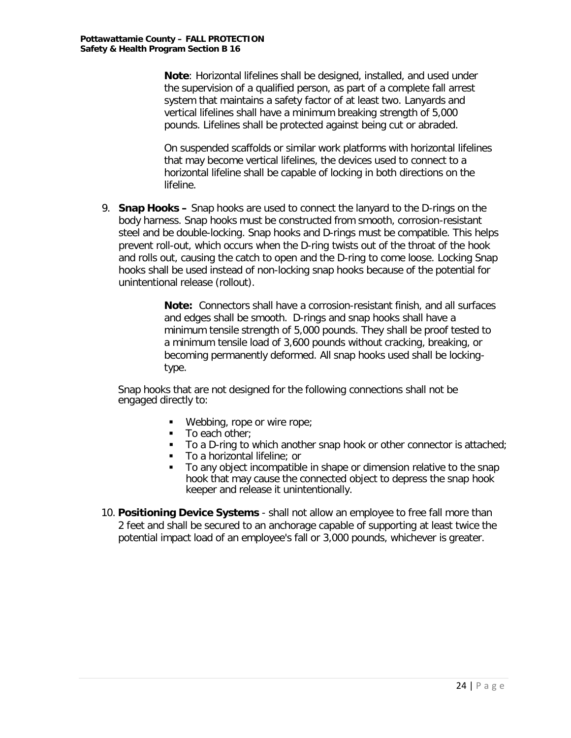**Note**: Horizontal lifelines shall be designed, installed, and used under the supervision of a qualified person, as part of a complete fall arrest system that maintains a safety factor of at least two. Lanyards and vertical lifelines shall have a minimum breaking strength of 5,000 pounds. Lifelines shall be protected against being cut or abraded.

On suspended scaffolds or similar work platforms with horizontal lifelines that may become vertical lifelines, the devices used to connect to a horizontal lifeline shall be capable of locking in both directions on the lifeline.

9. **Snap Hooks –** Snap hooks are used to connect the lanyard to the D-rings on the body harness. Snap hooks must be constructed from smooth, corrosion-resistant steel and be double-locking. Snap hooks and D-rings must be compatible. This helps prevent roll-out, which occurs when the D-ring twists out of the throat of the hook and rolls out, causing the catch to open and the D-ring to come loose. Locking Snap hooks shall be used instead of non-locking snap hooks because of the potential for unintentional release (rollout).

> **Note:** Connectors shall have a corrosion-resistant finish, and all surfaces and edges shall be smooth. D-rings and snap hooks shall have a minimum tensile strength of 5,000 pounds. They shall be proof tested to a minimum tensile load of 3,600 pounds without cracking, breaking, or becoming permanently deformed. All snap hooks used shall be lockingtype.

Snap hooks that are not designed for the following connections shall not be engaged directly to:

- **Webbing, rope or wire rope;**
- $\blacksquare$  To each other:
- To a D-ring to which another snap hook or other connector is attached;
- To a horizontal lifeline; or
- To any object incompatible in shape or dimension relative to the snap hook that may cause the connected object to depress the snap hook keeper and release it unintentionally.
- 10. **Positioning Device Systems** shall not allow an employee to free fall more than 2 feet and shall be secured to an anchorage capable of supporting at least twice the potential impact load of an employee's fall or 3,000 pounds, whichever is greater.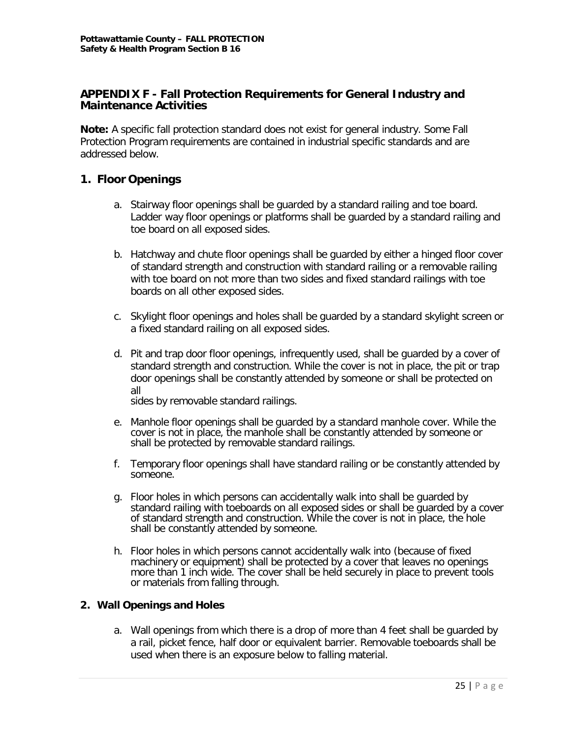#### **APPENDIX F - Fall Protection Requirements for General Industry and Maintenance Activities**

**Note:** A specific fall protection standard does not exist for general industry. Some Fall Protection Program requirements are contained in industrial specific standards and are addressed below.

#### **1. Floor Openings**

- a. Stairway floor openings shall be guarded by a standard railing and toe board. Ladder way floor openings or platforms shall be guarded by a standard railing and toe board on all exposed sides.
- b. Hatchway and chute floor openings shall be guarded by either a hinged floor cover of standard strength and construction with standard railing or a removable railing with toe board on not more than two sides and fixed standard railings with toe boards on all other exposed sides.
- c. Skylight floor openings and holes shall be guarded by a standard skylight screen or a fixed standard railing on all exposed sides.
- d. Pit and trap door floor openings, infrequently used, shall be guarded by a cover of standard strength and construction. While the cover is not in place, the pit or trap door openings shall be constantly attended by someone or shall be protected on all

sides by removable standard railings.

- e. Manhole floor openings shall be guarded by a standard manhole cover. While the cover is not in place, the manhole shall be constantly attended by someone or shall be protected by removable standard railings.
- f. Temporary floor openings shall have standard railing or be constantly attended by someone.
- g. Floor holes in which persons can accidentally walk into shall be guarded by standard railing with toeboards on all exposed sides or shall be guarded by a cover of standard strength and construction. While the cover is not in place, the hole shall be constantly attended by someone.
- h. Floor holes in which persons cannot accidentally walk into (because of fixed machinery or equipment) shall be protected by a cover that leaves no openings more than 1 inch wide. The cover shall be held securely in place to prevent tools or materials from falling through.

#### **2. Wall Openings and Holes**

a. Wall openings from which there is a drop of more than 4 feet shall be guarded by a rail, picket fence, half door or equivalent barrier. Removable toeboards shall be used when there is an exposure below to falling material.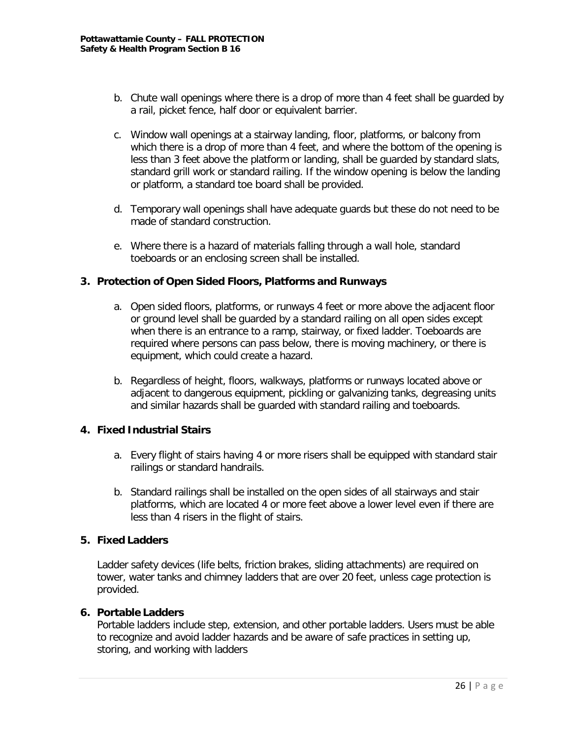- b. Chute wall openings where there is a drop of more than 4 feet shall be guarded by a rail, picket fence, half door or equivalent barrier.
- c. Window wall openings at a stairway landing, floor, platforms, or balcony from which there is a drop of more than 4 feet, and where the bottom of the opening is less than 3 feet above the platform or landing, shall be guarded by standard slats, standard grill work or standard railing. If the window opening is below the landing or platform, a standard toe board shall be provided.
- d. Temporary wall openings shall have adequate guards but these do not need to be made of standard construction.
- e. Where there is a hazard of materials falling through a wall hole, standard toeboards or an enclosing screen shall be installed.

#### **3. Protection of Open Sided Floors, Platforms and Runways**

- a. Open sided floors, platforms, or runways 4 feet or more above the adjacent floor or ground level shall be guarded by a standard railing on all open sides except when there is an entrance to a ramp, stairway, or fixed ladder. Toeboards are required where persons can pass below, there is moving machinery, or there is equipment, which could create a hazard.
- b. Regardless of height, floors, walkways, platforms or runways located above or adjacent to dangerous equipment, pickling or galvanizing tanks, degreasing units and similar hazards shall be guarded with standard railing and toeboards.

#### **4. Fixed Industrial Stairs**

- a. Every flight of stairs having 4 or more risers shall be equipped with standard stair railings or standard handrails.
- b. Standard railings shall be installed on the open sides of all stairways and stair platforms, which are located 4 or more feet above a lower level even if there are less than 4 risers in the flight of stairs.

#### **5. Fixed Ladders**

Ladder safety devices (life belts, friction brakes, sliding attachments) are required on tower, water tanks and chimney ladders that are over 20 feet, unless cage protection is provided.

#### **6. Portable Ladders**

Portable ladders include step, extension, and other portable ladders. Users must be able to recognize and avoid ladder hazards and be aware of safe practices in setting up, storing, and working with ladders